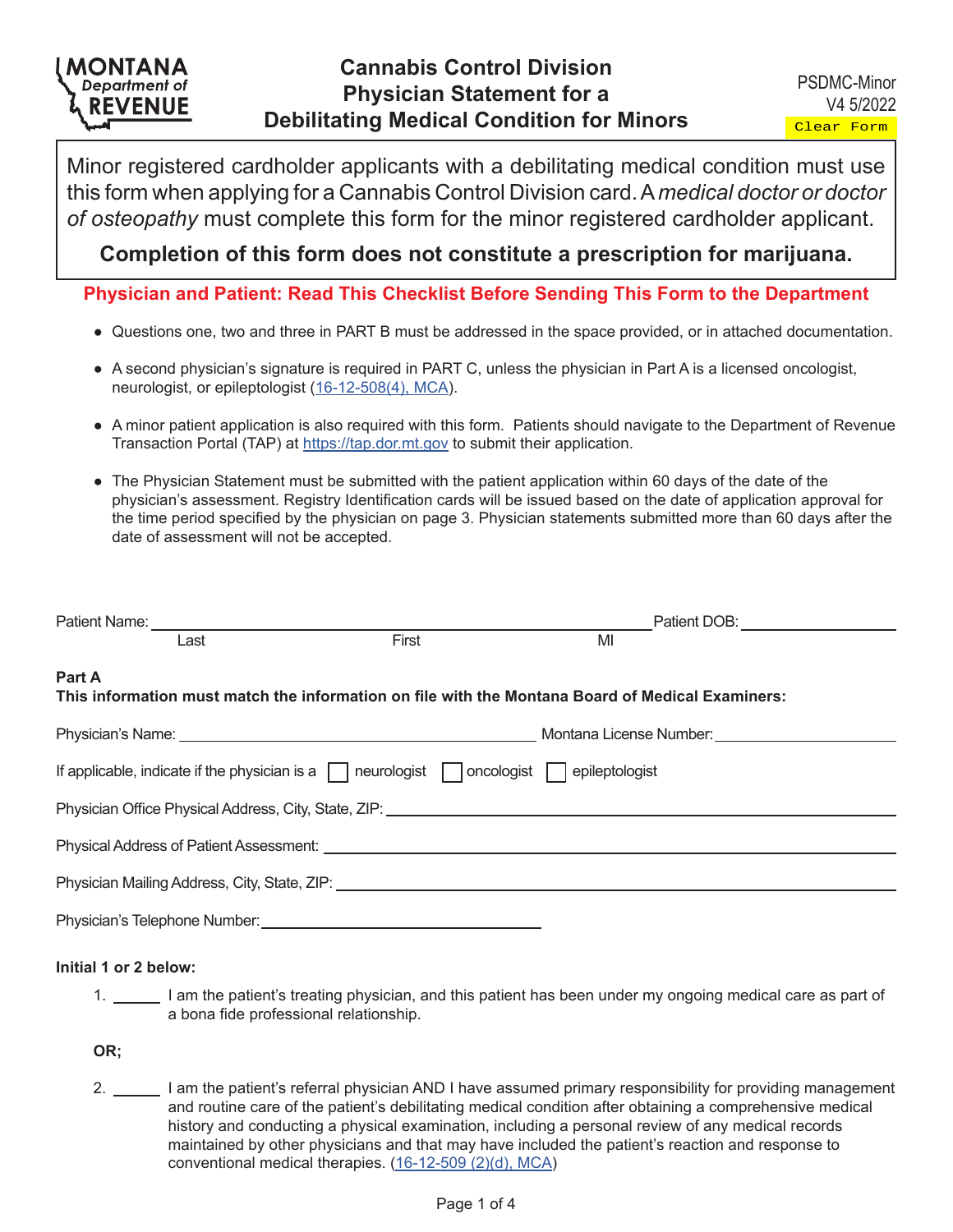# MONTANA **Department of REVENUE**

Minor registered cardholder applicants with a debilitating medical condition must use this form when applying for a Cannabis Control Division card. A *medical doctor or doctor of osteopathy* must complete this form for the minor registered cardholder applicant.

## **Completion of this form does not constitute a prescription for marijuana.**

**Physician and Patient: Read This Checklist Before Sending This Form to the Department**

- Questions one, two and three in PART B must be addressed in the space provided, or in attached documentation.
- A second physician's signature is required in PART C, unless the physician in Part A is a licensed oncologist, neurologist, or epileptologist [\(16-12-508\(4\), MCA\)](https://leg.mt.gov/bills/mca/title_0160/chapter_0120/part_0050/section_0080/0160-0120-0050-0080.html).
- A minor patient application is also required with this form. Patients should navigate to the Department of Revenue Transaction Portal (TAP) at<https://tap.dor.mt.gov> to submit their application.
- The Physician Statement must be submitted with the patient application within 60 days of the date of the physician's assessment. Registry Identification cards will be issued based on the date of application approval for the time period specified by the physician on page 3. Physician statements submitted more than 60 days after the date of assessment will not be accepted.

| Patient Name: <u>___________________________________</u>                                                                                                                                                                       |       |    | Patient DOB: Network and Container and Container |  |  |
|--------------------------------------------------------------------------------------------------------------------------------------------------------------------------------------------------------------------------------|-------|----|--------------------------------------------------|--|--|
| Last                                                                                                                                                                                                                           | First | MI |                                                  |  |  |
| Part A<br>This information must match the information on file with the Montana Board of Medical Examiners:                                                                                                                     |       |    |                                                  |  |  |
|                                                                                                                                                                                                                                |       |    |                                                  |  |  |
| If applicable, indicate if the physician is a $\Box$ neurologist $\Box$ oncologist $\Box$ epileptologist                                                                                                                       |       |    |                                                  |  |  |
| Physician Office Physical Address, City, State, ZIP: ____________________________                                                                                                                                              |       |    |                                                  |  |  |
|                                                                                                                                                                                                                                |       |    |                                                  |  |  |
| Physician Mailing Address, City, State, ZIP: University of the Contract of the Contract of the Contract of the Contract of the Contract of the Contract of the Contract of the Contract of the Contract of the Contract of the |       |    |                                                  |  |  |
|                                                                                                                                                                                                                                |       |    |                                                  |  |  |

### **Initial 1 or 2 below:**

1. I am the patient's treating physician, and this patient has been under my ongoing medical care as part of a bona fide professional relationship.

**OR;**

2. I am the patient's referral physician AND I have assumed primary responsibility for providing management and routine care of the patient's debilitating medical condition after obtaining a comprehensive medical history and conducting a physical examination, including a personal review of any medical records maintained by other physicians and that may have included the patient's reaction and response to conventional medical therapies. [\(16-12-509 \(2\)\(d\), MCA\)](https://leg.mt.gov/bills/mca/title_0500/chapter_0460/part_0030/section_0100/0500-0460-0030-0100.html)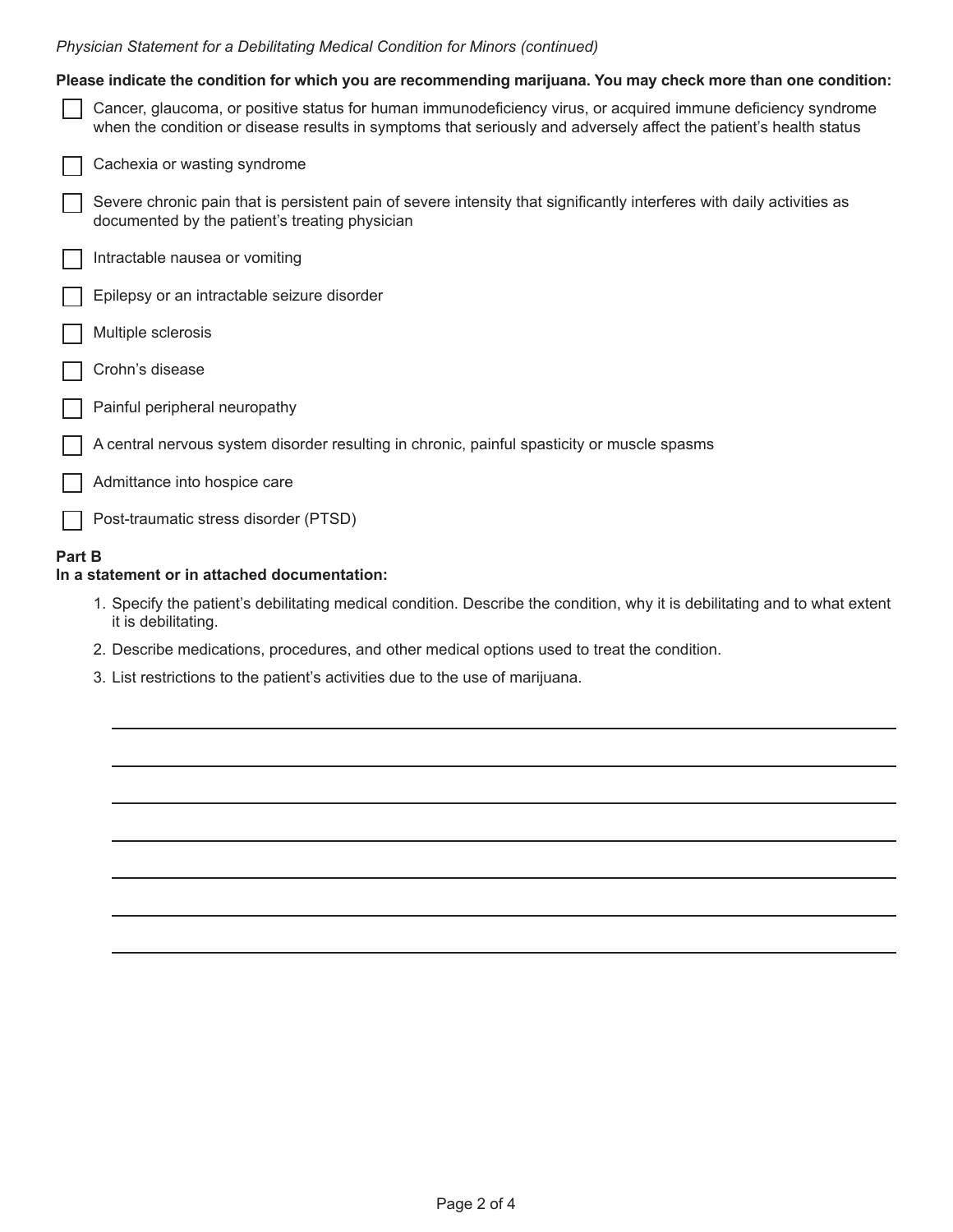|  | Physician Statement for a Debilitating Medical Condition for Minors (continued) |  |  |  |  |  |
|--|---------------------------------------------------------------------------------|--|--|--|--|--|
|--|---------------------------------------------------------------------------------|--|--|--|--|--|

|        | Please indicate the condition for which you are recommending marijuana. You may check more than one condition:                                                                                                                     |
|--------|------------------------------------------------------------------------------------------------------------------------------------------------------------------------------------------------------------------------------------|
|        | Cancer, glaucoma, or positive status for human immunodeficiency virus, or acquired immune deficiency syndrome<br>when the condition or disease results in symptoms that seriously and adversely affect the patient's health status |
|        | Cachexia or wasting syndrome                                                                                                                                                                                                       |
|        | Severe chronic pain that is persistent pain of severe intensity that significantly interferes with daily activities as<br>documented by the patient's treating physician                                                           |
|        | Intractable nausea or vomiting                                                                                                                                                                                                     |
|        | Epilepsy or an intractable seizure disorder                                                                                                                                                                                        |
|        | Multiple sclerosis                                                                                                                                                                                                                 |
|        | Crohn's disease                                                                                                                                                                                                                    |
|        | Painful peripheral neuropathy                                                                                                                                                                                                      |
|        | A central nervous system disorder resulting in chronic, painful spasticity or muscle spasms                                                                                                                                        |
|        | Admittance into hospice care                                                                                                                                                                                                       |
|        | Post-traumatic stress disorder (PTSD)                                                                                                                                                                                              |
| Part B |                                                                                                                                                                                                                                    |

### **In a statement or in attached documentation:**

- 1. Specify the patient's debilitating medical condition. Describe the condition, why it is debilitating and to what extent it is debilitating.
- 2. Describe medications, procedures, and other medical options used to treat the condition.
- 3. List restrictions to the patient's activities due to the use of marijuana.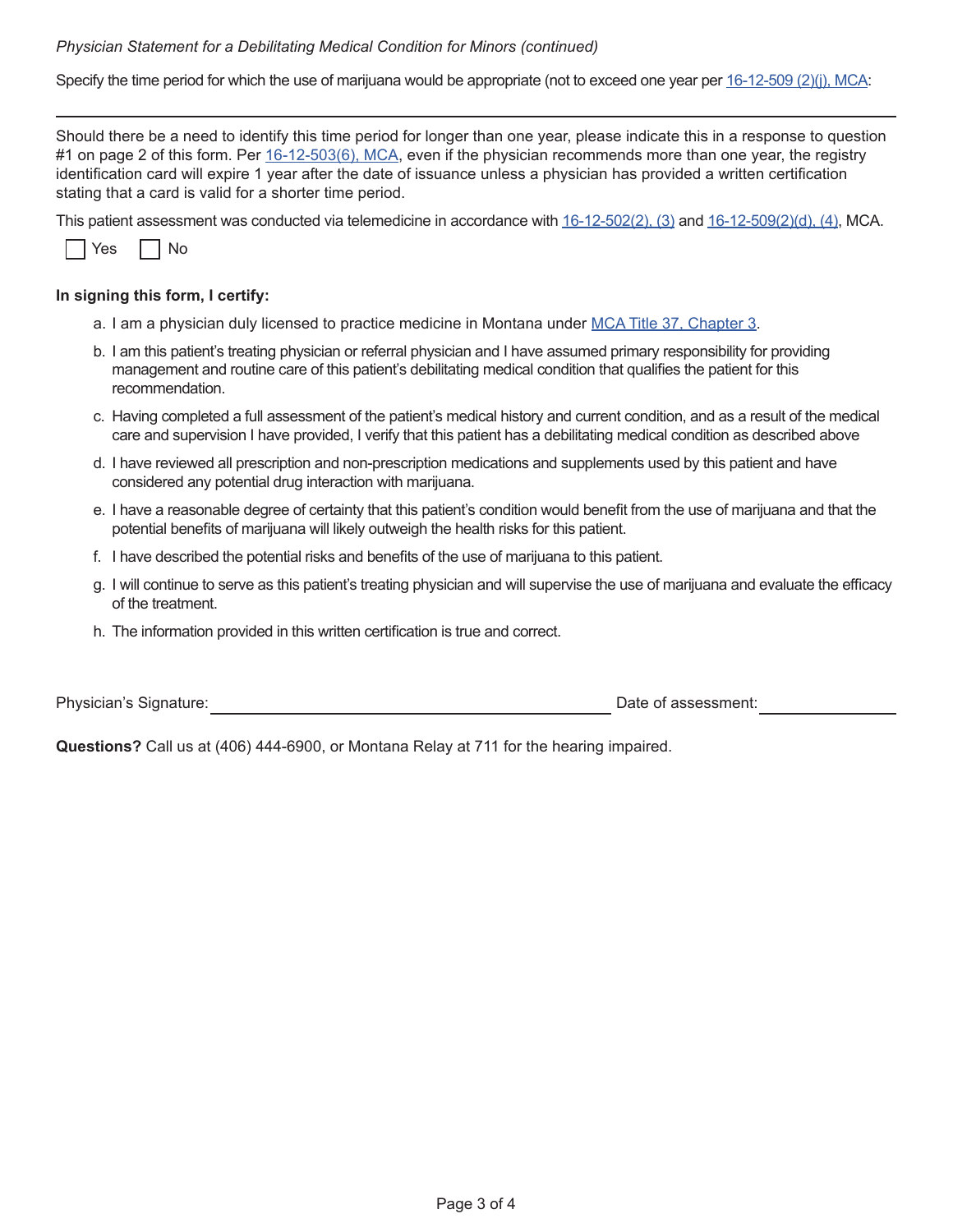#### *Physician Statement for a Debilitating Medical Condition for Minors (continued)*

Specify the time period for which the use of marijuana would be appropriate (not to exceed one year per [16-12-509 \(2\)\(j\), MCA:](https://leg.mt.gov/bills/mca/title_0500/chapter_0460/part_0030/section_0100/0500-0460-0030-0100.html)

Should there be a need to identify this time period for longer than one year, please indicate this in a response to question #1 on page 2 of this form. Per [16-12-503\(6\), MCA](https://leg.mt.gov/bills/mca/title_0500/chapter_0460/part_0030/section_0030/0500-0460-0030-0030.html), even if the physician recommends more than one year, the registry identification card will expire 1 year after the date of issuance unless a physician has provided a written certification stating that a card is valid for a shorter time period.

This patient assessment was conducted via telemedicine in accordance with  $16-12-502(2)$ ,  $(3)$  and  $16-12-509(2)(d)$ ,  $(4)$ , MCA.



### **In signing this form, I certify:**

- a. I am a physician duly licensed to practice medicine in Montana under [MCA Title 37, Chapter 3](https://leg.mt.gov/bills/mca/title_0370/chapter_0030/parts_index.html).
- b. I am this patient's treating physician or referral physician and I have assumed primary responsibility for providing management and routine care of this patient's debilitating medical condition that qualifies the patient for this recommendation.
- c. Having completed a full assessment of the patient's medical history and current condition, and as a result of the medical care and supervision I have provided, I verify that this patient has a debilitating medical condition as described above
- d. I have reviewed all prescription and non-prescription medications and supplements used by this patient and have considered any potential drug interaction with marijuana.
- e. I have a reasonable degree of certainty that this patient's condition would benefit from the use of marijuana and that the potential benefits of marijuana will likely outweigh the health risks for this patient.
- f. I have described the potential risks and benefits of the use of marijuana to this patient.
- g. I will continue to serve as this patient's treating physician and will supervise the use of marijuana and evaluate the efficacy of the treatment.
- h. The information provided in this written certification is true and correct.

Physician's Signature: **Date of assessment:** Date of assessment:

**Questions?** Call us at (406) 444-6900, or Montana Relay at 711 for the hearing impaired.